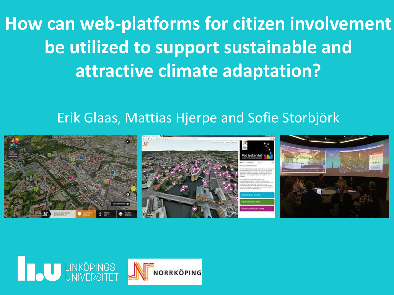**How can web-platforms for citizen involvement be utilized to support sustainable and attractive climate adaptation?** 

#### Erik Glaas, Mattias Hjerpe and Sofie Storbjörk



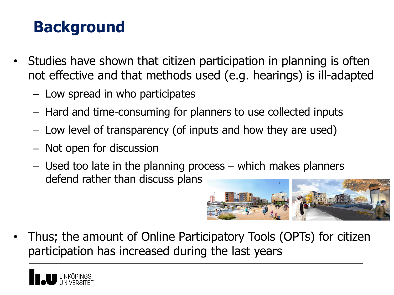# **Background**

- Studies have shown that citizen participation in planning is often not effective and that methods used (e.g. hearings) is ill-adapted
	- Low spread in who participates
	- Hard and time-consuming for planners to use collected inputs
	- Low level of transparency (of inputs and how they are used)
	- Not open for discussion
	- Used too late in the planning process which makes planners defend rather than discuss plans



• Thus; the amount of Online Participatory Tools (OPTs) for citizen participation has increased during the last years

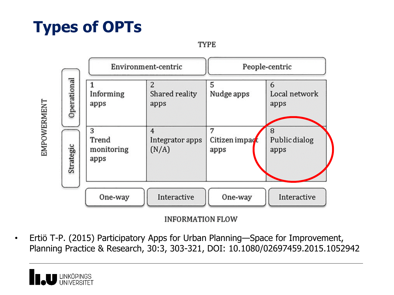## **Types of OPTs**

**TYPE** 



**INFORMATION FLOW** 

• Ertiö T-P. (2015) Participatory Apps for Urban Planning—Space for Improvement, Planning Practice & Research, 30:3, 303-321, DOI: 10.1080/02697459.2015.1052942

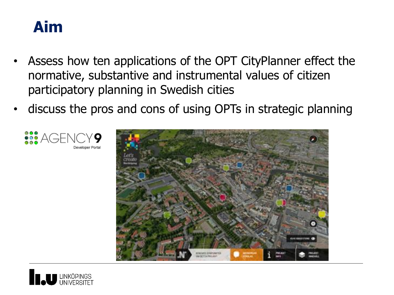

- Assess how ten applications of the OPT CityPlanner effect the normative, substantive and instrumental values of citizen participatory planning in Swedish cities
- discuss the pros and cons of using OPTs in strategic planning



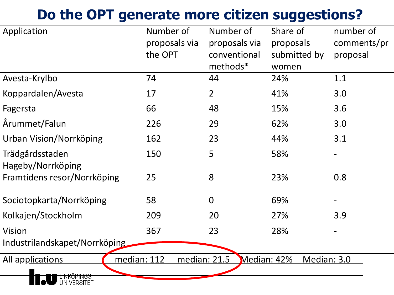#### **Do the OPT generate more citizen suggestions?**

| Application                           | Number of<br>proposals via<br>the OPT | Number of<br>proposals via<br>conventional<br>methods* | Share of<br>proposals<br>submitted by<br>women | number of<br>comments/pr<br>proposal |
|---------------------------------------|---------------------------------------|--------------------------------------------------------|------------------------------------------------|--------------------------------------|
| Avesta-Krylbo                         | 74                                    | 44                                                     | 24%                                            | 1.1                                  |
| Koppardalen/Avesta                    | 17                                    | $\overline{2}$                                         | 41%                                            | 3.0                                  |
| Fagersta                              | 66                                    | 48                                                     | 15%                                            | 3.6                                  |
| Årummet/Falun                         | 226                                   | 29                                                     | 62%                                            | 3.0                                  |
| Urban Vision/Norrköping               | 162                                   | 23                                                     | 44%                                            | 3.1                                  |
| Trädgårdsstaden<br>Hageby/Norrköping  | 150                                   | 5                                                      | 58%                                            |                                      |
| Framtidens resor/Norrköping           | 25                                    | 8                                                      | 23%                                            | 0.8                                  |
| Sociotopkarta/Norrköping              | 58                                    | $\overline{0}$                                         | 69%                                            |                                      |
| Kolkajen/Stockholm                    | 209                                   | 20                                                     | 27%                                            | 3.9                                  |
| <b>Vision</b>                         | 367                                   | 23                                                     | 28%                                            |                                      |
| Industrilandskapet/Norrköping         |                                       |                                                        |                                                |                                      |
| median: 112<br>All applications       | median: 21.5                          | Median: 42%                                            | Median: 3.0                                    |                                      |
| <del>LINKOPINGS<br/>UNIVERSITET</del> |                                       |                                                        |                                                |                                      |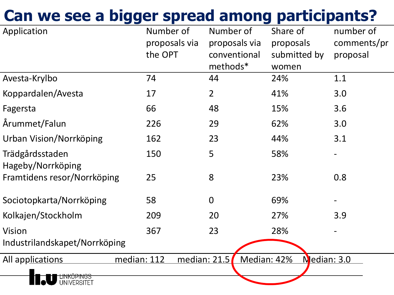## **Can we see a bigger spread among participants?**

| Application                           | Number of<br>proposals via<br>the OPT | Number of<br>proposals via<br>conventional<br>methods* | Share of<br>proposals<br>submitted by<br>women | number of<br>comments/pr<br>proposal |
|---------------------------------------|---------------------------------------|--------------------------------------------------------|------------------------------------------------|--------------------------------------|
| Avesta-Krylbo                         | 74                                    | 44                                                     | 24%                                            | 1.1                                  |
| Koppardalen/Avesta                    | 17                                    | $\overline{2}$                                         | 41%                                            | 3.0                                  |
| Fagersta                              | 66                                    | 48                                                     | 15%                                            | 3.6                                  |
| Årummet/Falun                         | 226                                   | 29                                                     | 62%                                            | 3.0                                  |
| Urban Vision/Norrköping               | 162                                   | 23                                                     | 44%                                            | 3.1                                  |
| Trädgårdsstaden<br>Hageby/Norrköping  | 150                                   | 5                                                      | 58%                                            |                                      |
| Framtidens resor/Norrköping           | 25                                    | 8                                                      | 23%                                            | 0.8                                  |
| Sociotopkarta/Norrköping              | 58                                    | $\mathbf 0$                                            | 69%                                            |                                      |
| Kolkajen/Stockholm                    | 209                                   | 20                                                     | 27%                                            | 3.9                                  |
| <b>Vision</b>                         | 367                                   | 23                                                     | 28%                                            |                                      |
| Industrilandskapet/Norrköping         |                                       |                                                        |                                                |                                      |
| All applications                      | median: 112                           | median: 21.5                                           | Median: 42%                                    | Nedian: 3.0                          |
| <del>LINKUPINGS<br/>UNIVERSITET</del> |                                       |                                                        |                                                |                                      |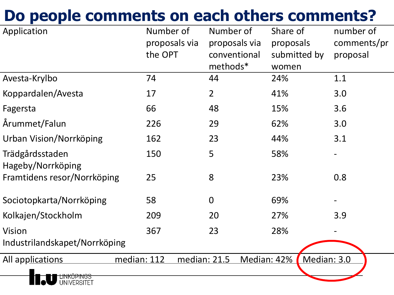## **Do people comments on each others comments?**

| Application                            | Number of<br>the OPT | Number of<br>proposals via<br>methods* | Share of<br>proposals via<br>proposals<br>conventional<br>women | number of<br>comments/pr<br>submitted by<br>proposal |
|----------------------------------------|----------------------|----------------------------------------|-----------------------------------------------------------------|------------------------------------------------------|
| Avesta-Krylbo                          | 74                   | 44                                     | 24%                                                             | 1.1                                                  |
| Koppardalen/Avesta                     | 17                   | $\overline{2}$                         | 41%                                                             | 3.0                                                  |
| Fagersta                               | 66                   | 48                                     | 15%                                                             | 3.6                                                  |
| Årummet/Falun                          | 226                  | 29                                     | 62%                                                             | 3.0                                                  |
| Urban Vision/Norrköping                | 162                  | 23                                     | 44%                                                             | 3.1                                                  |
| Trädgårdsstaden<br>Hageby/Norrköping   | 150                  | 5                                      | 58%                                                             |                                                      |
| Framtidens resor/Norrköping            | 25                   | 8                                      | 23%                                                             | 0.8                                                  |
| Sociotopkarta/Norrköping               | 58                   | $\overline{0}$                         | 69%                                                             |                                                      |
| Kolkajen/Stockholm                     | 209                  | 20                                     | 27%                                                             | 3.9                                                  |
| Vision                                 | 367                  | 23                                     | 28%                                                             |                                                      |
| Industrilandskapet/Norrköping          |                      |                                        |                                                                 |                                                      |
| All applications<br><b>UNIVERSITET</b> | median: 112          | median: 21.5                           | Median: 42%                                                     | Median: 3.0                                          |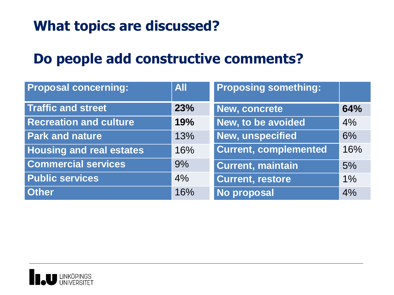#### **What topics are discussed?**

#### **Do people add constructive comments?**

| <b>Proposal concerning:</b>     | <b>All</b> | <b>Proposing something:</b>  |     |
|---------------------------------|------------|------------------------------|-----|
| <b>Traffic and street</b>       | 23%        | New, concrete                | 64% |
| <b>Recreation and culture</b>   | 19%        | New, to be avoided           | 4%  |
| <b>Park and nature</b>          | 13%        | New, unspecified             | 6%  |
| <b>Housing and real estates</b> | 16%        | <b>Current, complemented</b> | 16% |
| <b>Commercial services</b>      | 9%         | <b>Current, maintain</b>     | 5%  |
| <b>Public services</b>          | 4%         | <b>Current, restore</b>      | 1%  |
| <b>Other</b>                    | 16%        | <b>No proposal</b>           | 4%  |

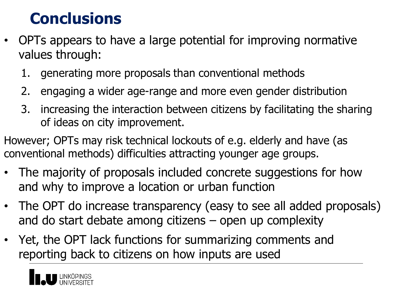#### **Conclusions**

- OPTs appears to have a large potential for improving normative values through:
	- 1. generating more proposals than conventional methods
	- 2. engaging a wider age-range and more even gender distribution
	- 3. increasing the interaction between citizens by facilitating the sharing of ideas on city improvement.
- However; OPTs may risk technical lockouts of e.g. elderly and have (as conventional methods) difficulties attracting younger age groups.
- The majority of proposals included concrete suggestions for how and why to improve a location or urban function
- The OPT do increase transparency (easy to see all added proposals) and do start debate among citizens – open up complexity
- Yet, the OPT lack functions for summarizing comments and reporting back to citizens on how inputs are used